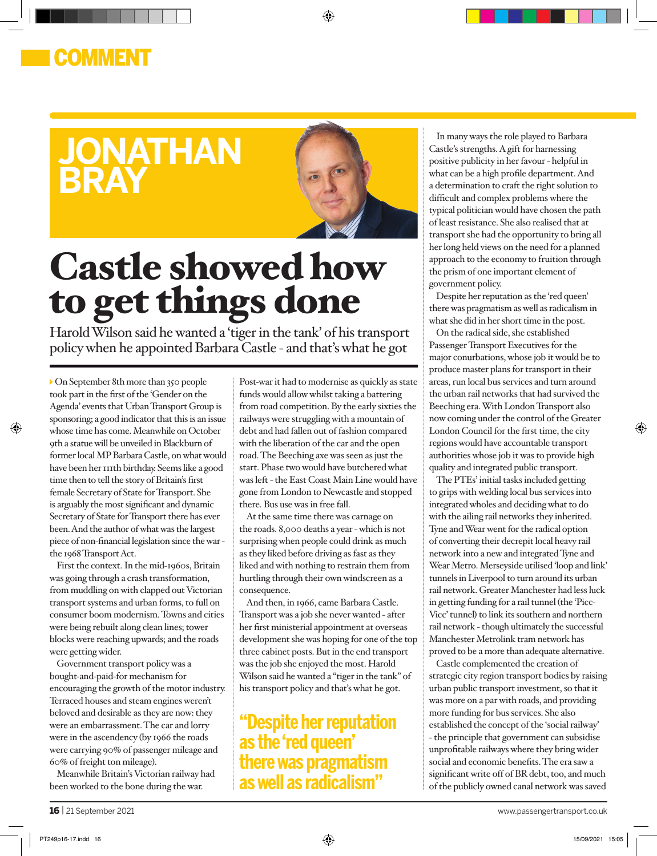### COMMENT

## **jonathan bray**



◈

# Castle showed how to get things done

Harold Wilson said he wanted a 'tiger in the tank' of his transport policy when he appointed Barbara Castle - and that's what he got

On September 8th more than 350 people took part in the first of the 'Gender on the Agenda' events that Urban Transport Group is sponsoring; a good indicator that this is an issue whose time has come. Meanwhile on October 9th a statue will be unveiled in Blackburn of former local MP Barbara Castle, on what would have been her 111th birthday. Seems like a good time then to tell the story of Britain's first female Secretary of State for Transport. She is arguably the most significant and dynamic Secretary of State for Transport there has ever been. And the author of what was the largest piece of non-financial legislation since the war the 1968 Transport Act.

⊕

First the context. In the mid-1960s, Britain was going through a crash transformation, from muddling on with clapped out Victorian transport systems and urban forms, to full on consumer boom modernism. Towns and cities were being rebuilt along clean lines; tower blocks were reaching upwards; and the roads were getting wider.

Government transport policy was a bought-and-paid-for mechanism for encouraging the growth of the motor industry. Terraced houses and steam engines weren't beloved and desirable as they are now: they were an embarrassment. The car and lorry were in the ascendency (by 1966 the roads were carrying 90% of passenger mileage and 60% of freight ton mileage).

Meanwhile Britain's Victorian railway had been worked to the bone during the war.

Post-war it had to modernise as quickly as state funds would allow whilst taking a battering from road competition. By the early sixties the railways were struggling with a mountain of debt and had fallen out of fashion compared with the liberation of the car and the open road. The Beeching axe was seen as just the start. Phase two would have butchered what was left - the East Coast Main Line would have gone from London to Newcastle and stopped there. Bus use was in free fall.

At the same time there was carnage on the roads. 8,000 deaths a year - which is not surprising when people could drink as much as they liked before driving as fast as they liked and with nothing to restrain them from hurtling through their own windscreen as a consequence.

And then, in 1966, came Barbara Castle. Transport was a job she never wanted - after her first ministerial appointment at overseas development she was hoping for one of the top three cabinet posts. But in the end transport was the job she enjoyed the most. Harold Wilson said he wanted a "tiger in the tank" of his transport policy and that's what he got.

**"Despite her reputation as the 'red queen' there was pragmatism as well as radicalism"**

In many ways the role played to Barbara Castle's strengths. A gift for harnessing positive publicity in her favour - helpful in what can be a high profile department. And a determination to craft the right solution to difficult and complex problems where the typical politician would have chosen the path of least resistance. She also realised that at transport she had the opportunity to bring all her long held views on the need for a planned approach to the economy to fruition through the prism of one important element of government policy.

Despite her reputation as the 'red queen' there was pragmatism as well as radicalism in what she did in her short time in the post.

On the radical side, she established Passenger Transport Executives for the major conurbations, whose job it would be to produce master plans for transport in their areas, run local bus services and turn around the urban rail networks that had survived the Beeching era. With London Transport also now coming under the control of the Greater London Council for the first time, the city regions would have accountable transport authorities whose job it was to provide high quality and integrated public transport.

The PTEs' initial tasks included getting to grips with welding local bus services into integrated wholes and deciding what to do with the ailing rail networks they inherited. Tyne and Wear went for the radical option of converting their decrepit local heavy rail network into a new and integrated Tyne and Wear Metro. Merseyside utilised 'loop and link' tunnels in Liverpool to turn around its urban rail network. Greater Manchester had less luck in getting funding for a rail tunnel (the 'Picc-Vicc' tunnel) to link its southern and northern rail network - though ultimately the successful Manchester Metrolink tram network has proved to be a more than adequate alternative.

Castle complemented the creation of strategic city region transport bodies by raising urban public transport investment, so that it was more on a par with roads, and providing more funding for bus services. She also established the concept of the 'social railway' - the principle that government can subsidise unprofitable railways where they bring wider social and economic benefits. The era saw a significant write off of BR debt, too, and much of the publicly owned canal network was saved

⊕